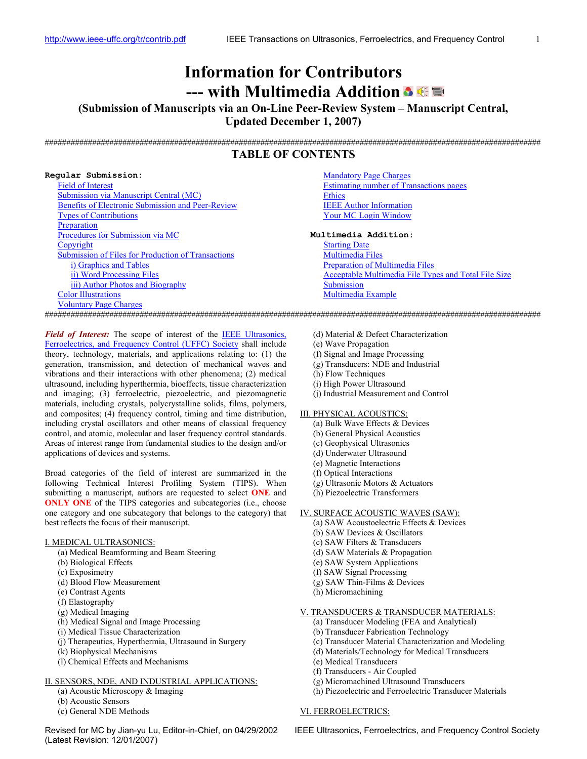# **Information for Contributors --- with Multimedia Addition**

<span id="page-0-0"></span>**(Submission of Manuscripts via an On-Line Peer-Review System – Manuscript Central, Updated December 1, 2007)** 

###################################################################################################################

# **TABLE OF CONTENTS**

| Regular Submission:                                | <b>Mandatory Page Charges</b>                        |
|----------------------------------------------------|------------------------------------------------------|
| Field of Interest                                  | Estimating number of Transactions pages              |
| <b>Submission via Manuscript Central (MC)</b>      | <b>Ethics</b>                                        |
| Benefits of Electronic Submission and Peer-Review  | <b>IEEE</b> Author Information                       |
| <b>Types of Contributions</b>                      | <b>Your MC Login Window</b>                          |
| Preparation                                        |                                                      |
| Procedures for Submission via MC                   | Multimedia Addition:                                 |
| Copyright                                          | <b>Starting Date</b>                                 |
| Submission of Files for Production of Transactions | <b>Multimedia Files</b>                              |
| <i>i</i> ) Graphics and Tables                     | Preparation of Multimedia Files                      |
| ii) Word Processing Files                          | Acceptable Multimedia File Types and Total File Size |
| iii) Author Photos and Biography                   | Submission                                           |
| <b>Color Illustrations</b>                         | Multimedia Example                                   |
| <b>Voluntary Page Charges</b>                      |                                                      |

###################################################################################################################

*Field of Interest:* The scope of interest of the IEEE Ultrasonics, [Ferroelectrics, and Frequency Control \(UFFC\) Society](http://www.ieee-uffc.org/) shall include theory, technology, materials, and applications relating to: (1) the generation, transmission, and detection of mechanical waves and vibrations and their interactions with other phenomena; (2) medical ultrasound, including hyperthermia, bioeffects, tissue characterization and imaging; (3) ferroelectric, piezoelectric, and piezomagnetic materials, including crystals, polycrystalline solids, films, polymers, and composites; (4) frequency control, timing and time distribution, including crystal oscillators and other means of classical frequency control, and atomic, molecular and laser frequency control standards. Areas of interest range from fundamental studies to the design and/or applications of devices and systems.

Broad categories of the field of interest are summarized in the following Technical Interest Profiling System (TIPS). When submitting a manuscript, authors are requested to select **ONE** and **ONLY ONE** of the TIPS categories and subcategories (i.e., choose one category and one subcategory that belongs to the category) that best reflects the focus of their manuscript.

## I. MEDICAL ULTRASONICS:

- (a) Medical Beamforming and Beam Steering
- (b) Biological Effects
- (c) Exposimetry
- (d) Blood Flow Measurement
- (e) Contrast Agents
- (f) Elastography
- (g) Medical Imaging
- (h) Medical Signal and Image Processing
- (i) Medical Tissue Characterization
- (j) Therapeutics, Hyperthermia, Ultrasound in Surgery
- (k) Biophysical Mechanisms
- (l) Chemical Effects and Mechanisms

### II. SENSORS, NDE, AND INDUSTRIAL APPLICATIONS:

- (a) Acoustic Microscopy & Imaging
- (b) Acoustic Sensors
- (c) General NDE Methods

# Revised for MC by Jian-yu Lu, Editor-in-Chief, on 04/29/2002 IEEE Ultrasonics, Ferroelectrics, and Frequency Control Society (Latest Revision: 12/01/2007)

- (d) Material & Defect Characterization
- (e) Wave Propagation
- (f) Signal and Image Processing
- (g) Transducers: NDE and Industrial
- (h) Flow Techniques
- (i) High Power Ultrasound
- (j) Industrial Measurement and Control

### III. PHYSICAL ACOUSTICS:

- (a) Bulk Wave Effects & Devices
- (b) General Physical Acoustics
- (c) Geophysical Ultrasonics
- (d) Underwater Ultrasound
- (e) Magnetic Interactions
- (f) Optical Interactions
- (g) Ultrasonic Motors & Actuators
- (h) Piezoelectric Transformers

### IV. SURFACE ACOUSTIC WAVES (SAW):

- (a) SAW Acoustoelectric Effects & Devices
- (b) SAW Devices & Oscillators
- (c) SAW Filters & Transducers
- (d) SAW Materials & Propagation
- (e) SAW System Applications
- (f) SAW Signal Processing
- (g) SAW Thin-Films & Devices
- (h) Micromachining

# V. TRANSDUCERS & TRANSDUCER MATERIALS:

- (a) Transducer Modeling (FEA and Analytical)
- (b) Transducer Fabrication Technology
- (c) Transducer Material Characterization and Modeling
- (d) Materials/Technology for Medical Transducers
- (e) Medical Transducers
- (f) Transducers Air Coupled
- (g) Micromachined Ultrasound Transducers
- (h) Piezoelectric and Ferroelectric Transducer Materials

# VI. FERROELECTRICS: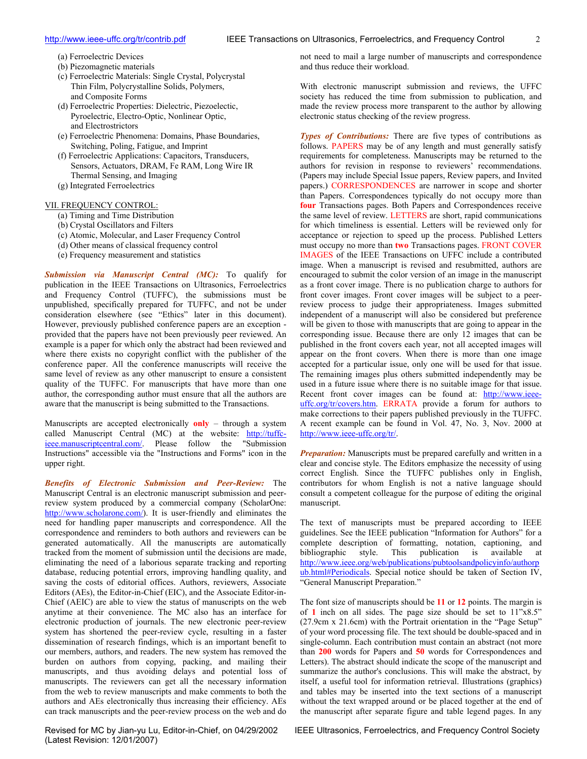- <span id="page-1-0"></span>(a) Ferroelectric Devices
- (b) Piezomagnetic materials
- (c) Ferroelectric Materials: Single Crystal, Polycrystal Thin Film, Polycrystalline Solids, Polymers, and Composite Forms
- (d) Ferroelectric Properties: Dielectric, Piezoelectic, Pyroelectric, Electro-Optic, Nonlinear Optic, and Electrostrictors
- (e) Ferroelectric Phenomena: Domains, Phase Boundaries, Switching, Poling, Fatigue, and Imprint
- (f) Ferroelectric Applications: Capacitors, Transducers, Sensors, Actuators, DRAM, Fe RAM, Long Wire IR Thermal Sensing, and Imaging
- (g) Integrated Ferroelectrics

# VII. FREQUENCY CONTROL:

- (a) Timing and Time Distribution
- (b) Crystal Oscillators and Filters
- (c) Atomic, Molecular, and Laser Frequency Control
- (d) Other means of classical frequency control
- (e) Frequency measurement and statistics

*Submission via Manuscript Central (MC):* To qualify for publication in the IEEE Transactions on Ultrasonics, Ferroelectrics and Frequency Control (TUFFC), the submissions must be unpublished, specifically prepared for TUFFC, and not be under consideration elsewhere (see "Ethics" later in this document). However, previously published conference papers are an exception provided that the papers have not been previously peer reviewed. An example is a paper for which only the abstract had been reviewed and where there exists no copyright conflict with the publisher of the conference paper. All the conference manuscripts will receive the same level of review as any other manuscript to ensure a consistent quality of the TUFFC. For manuscripts that have more than one author, the corresponding author must ensure that all the authors are aware that the manuscript is being submitted to the Transactions.

Manuscripts are accepted electronically **only** – through a system called Manuscript Central (MC) at the website: [http://tuffc](http://tuffc-ieee.manuscriptcentral.com/)[ieee.manuscriptcentral.com/](http://tuffc-ieee.manuscriptcentral.com/). Please follow the "Submission Instructions" accessible via the "Instructions and Forms" icon in the upper right.

*Benefits of Electronic Submission and Peer-Review:* The Manuscript Central is an electronic manuscript submission and peerreview system produced by a commercial company (ScholarOne: <http://www.scholarone.com/>). It is user-friendly and eliminates the need for handling paper manuscripts and correspondence. All the correspondence and reminders to both authors and reviewers can be generated automatically. All the manuscripts are automatically tracked from the moment of submission until the decisions are made, eliminating the need of a laborious separate tracking and reporting database, reducing potential errors, improving handling quality, and saving the costs of editorial offices. Authors, reviewers, Associate Editors (AEs), the Editor-in-Chief (EIC), and the Associate Editor-in-Chief (AEIC) are able to view the status of manuscripts on the web anytime at their convenience. The MC also has an interface for electronic production of journals. The new electronic peer-review system has shortened the peer-review cycle, resulting in a faster dissemination of research findings, which is an important benefit to our members, authors, and readers. The new system has removed the burden on authors from copying, packing, and mailing their manuscripts, and thus avoiding delays and potential loss of manuscripts. The reviewers can get all the necessary information from the web to review manuscripts and make comments to both the authors and AEs electronically thus increasing their efficiency. AEs can track manuscripts and the peer-review process on the web and do

(Latest Revision: 12/01/2007)

not need to mail a large number of manuscripts and correspondence and thus reduce their workload.

With electronic manuscript submission and reviews, the UFFC society has reduced the time from submission to publication, and made the review process more transparent to the author by allowing electronic status checking of the review progress.

*Types of Contributions:* There are five types of contributions as follows. PAPERS may be of any length and must generally satisfy requirements for completeness. Manuscripts may be returned to the authors for revision in response to reviewers' recommendations. (Papers may include Special Issue papers, Review papers, and Invited papers.) CORRESPONDENCES are narrower in scope and shorter than Papers. Correspondences typically do not occupy more than **four** Transactions pages. Both Papers and Correspondences receive the same level of review. LETTERS are short, rapid communications for which timeliness is essential. Letters will be reviewed only for acceptance or rejection to speed up the process. Published Letters must occupy no more than **two** Transactions pages. FRONT COVER IMAGES of the IEEE Transactions on UFFC include a contributed image. When a manuscript is revised and resubmitted, authors are encouraged to submit the color version of an image in the manuscript as a front cover image. There is no publication charge to authors for front cover images. Front cover images will be subject to a peerreview process to judge their appropriateness. Images submitted independent of a manuscript will also be considered but preference will be given to those with manuscripts that are going to appear in the corresponding issue. Because there are only 12 images that can be published in the front covers each year, not all accepted images will appear on the front covers. When there is more than one image accepted for a particular issue, only one will be used for that issue. The remaining images plus others submitted independently may be used in a future issue where there is no suitable image for that issue. Recent front cover images can be found at: [http://www.ieee](http://www.ieee-uffc.org/tr/covers.htm)[uffc.org/tr/covers.htm](http://www.ieee-uffc.org/tr/covers.htm). ERRATA provide a forum for authors to make corrections to their papers published previously in the TUFFC. A recent example can be found in Vol. 47, No. 3, Nov. 2000 at http://www.ieee-uffc.org/tr/.

*Preparation:* Manuscripts must be prepared carefully and written in a clear and concise style. The Editors emphasize the necessity of using correct English. Since the TUFFC publishes only in English, contributors for whom English is not a native language should consult a competent colleague for the purpose of editing the original manuscript.

The text of manuscripts must be prepared according to IEEE guidelines. See the IEEE publication "Information for Authors" for a complete description of formatting, notation, captioning, and bibliographic style. This publication is available at [http://www.ieee.org/web/publications/pubtoolsandpolicyinfo/authorp](http://www.ieee.org/web/publications/pubtoolsandpolicyinfo/authorpub.html#Periodicals) [ub.html#Periodicals.](http://www.ieee.org/web/publications/pubtoolsandpolicyinfo/authorpub.html#Periodicals) Special notice should be taken of Section IV, "General Manuscript Preparation."

The font size of manuscripts should be **11** or **12** points. The margin is of **1** inch on all sides. The page size should be set to 11"x8.5" (27.9cm x 21.6cm) with the Portrait orientation in the "Page Setup" of your word processing file. The text should be double-spaced and in single-column. Each contribution must contain an abstract (not more than **200** words for Papers and **50** words for Correspondences and Letters). The abstract should indicate the scope of the manuscript and summarize the author's conclusions. This will make the abstract, by itself, a useful tool for information retrieval. Illustrations (graphics) and tables may be inserted into the text sections of a manuscript without the text wrapped around or be placed together at the end of the manuscript after separate figure and table legend pages. In any

Revised for MC by Jian-yu Lu, Editor-in-Chief, on 04/29/2002 IEEE Ultrasonics, Ferroelectrics, and Frequency Control Society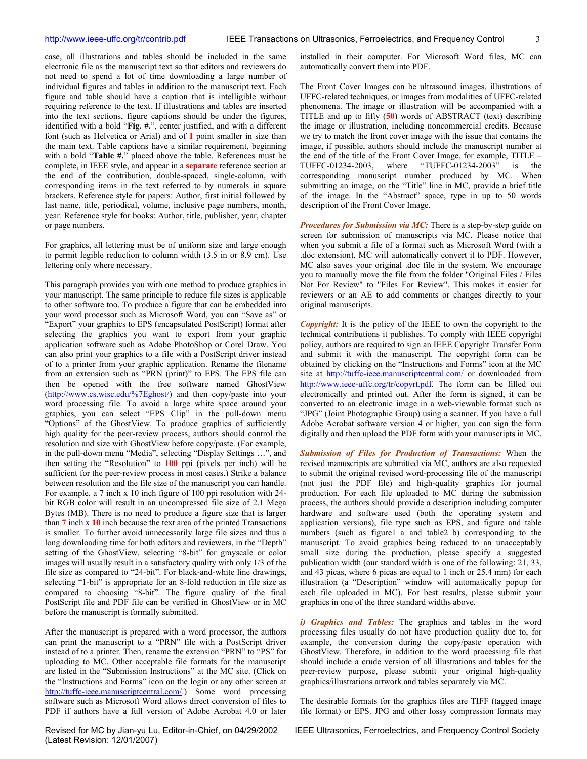<span id="page-2-0"></span>case, all illustrations and tables should be included in the same electronic file as the manuscript text so that editors and reviewers do not need to spend a lot of time downloading a large number of individual figures and tables in addition to the manuscript text. Each figure and table should have a caption that is intelligible without requiring reference to the text. If illustrations and tables are inserted into the text sections, figure captions should be under the figures, identified with a bold "**Fig. #.**", center justified, and with a different

font (such as Helvetica or Arial) and of **1** point smaller in size than the main text. Table captions have a similar requirement, beginning with a bold "**Table #.**" placed above the table. References must be complete, in IEEE style, and appear in a **separate** reference section at the end of the contribution, double-spaced, single-column, with corresponding items in the text referred to by numerals in square brackets. Reference style for papers: Author, first initial followed by last name, title, periodical, volume, inclusive page numbers, month, year. Reference style for books: Author, title, publisher, year, chapter or page numbers.

For graphics, all lettering must be of uniform size and large enough to permit legible reduction to column width (3.5 in or 8.9 cm). Use lettering only where necessary.

This paragraph provides you with one method to produce graphics in your manuscript. The same principle to reduce file sizes is applicable to other software too. To produce a figure that can be embedded into your word processor such as Microsoft Word, you can "Save as" or "Export" your graphics to EPS (encapsulated PostScript) format after selecting the graphics you want to export from your graphic application software such as Adobe PhotoShop or Corel Draw. You can also print your graphics to a file with a PostScript driver instead of to a printer from your graphic application. Rename the filename from an extension such as "PRN (print)" to EPS. The EPS file can then be opened with the free software named GhostView ([http://www.cs.wisc.edu/%7Eghost/\)](http://www.cs.wisc.edu/%7Eghost/) and then copy/paste into your word processing file. To avoid a large white space around your graphics, you can select "EPS Clip" in the pull-down menu "Options" of the GhostView. To produce graphics of sufficiently high quality for the peer-review process, authors should control the resolution and size with GhostView before copy/paste. (For example, in the pull-down menu "Media", selecting "Display Settings …", and then setting the "Resolution" to **100** ppi (pixels per inch) will be sufficient for the peer-review process in most cases.) Strike a balance between resolution and the file size of the manuscript you can handle. For example, a 7 inch x 10 inch figure of 100 ppi resolution with 24 bit RGB color will result in an uncompressed file size of 2.1 Mega Bytes (MB). There is no need to produce a figure size that is larger than **7** inch x **10** inch because the text area of the printed Transactions is smaller. To further avoid unnecessarily large file sizes and thus a long downloading time for both editors and reviewers, in the "Depth" setting of the GhostView, selecting "8-bit" for grayscale or color images will usually result in a satisfactory quality with only 1/3 of the file size as compared to "24-bit". For black-and-white line drawings, selecting "1-bit" is appropriate for an 8-fold reduction in file size as compared to choosing "8-bit". The figure quality of the final PostScript file and PDF file can be verified in GhostView or in MC before the manuscript is formally submitted.

After the manuscript is prepared with a word processor, the authors can print the manuscript to a "PRN" file with a PostScript driver instead of to a printer. Then, rename the extension "PRN" to "PS" for uploading to MC. Other acceptable file formats for the manuscript are listed in the "Submission Instructions" at the MC site. (Click on the "Instructions and Forms" icon on the login or any other screen at [http://tuffc-ieee.manuscriptcentral.com/.](http://tuffc-ieee.manuscriptcentral.com/)) Some word processing software such as Microsoft Word allows direct conversion of files to PDF if authors have a full version of Adobe Acrobat 4.0 or later

(Latest Revision: 12/01/2007)

installed in their computer. For Microsoft Word files, MC can automatically convert them into PDF.

The Front Cover Images can be ultrasound images, illustrations of UFFC-related techniques, or images from modalities of UFFC-related phenomena. The image or illustration will be accompanied with a TITLE and up to fifty (**50**) words of ABSTRACT (text) describing the image or illustration, including noncommercial credits. Because we try to match the front cover image with the issue that contains the image, if possible, authors should include the manuscript number at the end of the title of the Front Cover Image, for example, TITLE – TUFFC-01234-2003, where "TUFFC-01234-2003" is the corresponding manuscript number produced by MC. When submitting an image, on the "Title" line in MC, provide a brief title of the image. In the "Abstract" space, type in up to 50 words description of the Front Cover Image.

*Procedures for Submission via MC:* There is a step-by-step guide on screen for submission of manuscripts via MC. Please notice that when you submit a file of a format such as Microsoft Word (with a .doc extension), MC will automatically convert it to PDF. However, MC also saves your original .doc file in the system. We encourage you to manually move the file from the folder "Original Files / Files Not For Review" to "Files For Review". This makes it easier for reviewers or an AE to add comments or changes directly to your original manuscripts.

*Copyright:* It is the policy of the IEEE to own the copyright to the technical contributions it publishes. To comply with IEEE copyright policy, authors are required to sign an IEEE Copyright Transfer Form and submit it with the manuscript. The copyright form can be obtained by clicking on the "Instructions and Forms" icon at the MC site at <http://tuffc-ieee.manuscriptcentral.com/>or downloaded from <http://www.ieee-uffc.org/tr/copyrt.pdf>. The form can be filled out electronically and printed out. After the form is signed, it can be converted to an electronic image in a web-viewable format such as "JPG" (Joint Photographic Group) using a scanner. If you have a full Adobe Acrobat software version 4 or higher, you can sign the form digitally and then upload the PDF form with your manuscripts in MC.

*Submission of Files for Production of Transactions:* When the revised manuscripts are submitted via MC, authors are also requested to submit the original revised word-processing file of the manuscript (not just the PDF file) and high-quality graphics for journal production. For each file uploaded to MC during the submission process, the authors should provide a description including computer hardware and software used (both the operating system and application versions), file type such as EPS, and figure and table numbers (such as figure1 a and table2 b) corresponding to the manuscript. To avoid graphics being reduced to an unacceptably small size during the production, please specify a suggested publication width (our standard width is one of the following: 21, 33, and 43 picas, where 6 picas are equal to 1 inch or 25.4 mm) for each illustration (a "Description" window will automatically popup for each file uploaded in MC). For best results, please submit your graphics in one of the three standard widths above.

*i) Graphics and Tables:* The graphics and tables in the word processing files usually do not have production quality due to, for example, the conversion during the copy/paste operation with GhostView. Therefore, in addition to the word processing file that should include a crude version of all illustrations and tables for the peer-review purpose, please submit your original high-quality graphics/illustrations artwork and tables separately via MC.

The desirable formats for the graphics files are TIFF (tagged image file format) or EPS. JPG and other lossy compression formats may

Revised for MC by Jian-yu Lu, Editor-in-Chief, on 04/29/2002 IEEE Ultrasonics, Ferroelectrics, and Frequency Control Society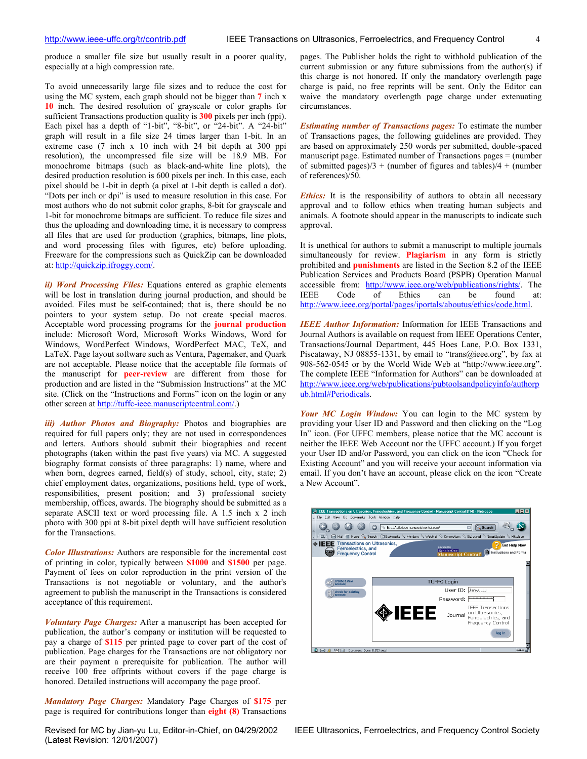<span id="page-3-0"></span>produce a smaller file size but usually result in a poorer quality, especially at a high compression rate.

To avoid unnecessarily large file sizes and to reduce the cost for using the MC system, each graph should not be bigger than **7** inch x **10** inch. The desired resolution of grayscale or color graphs for sufficient Transactions production quality is **300** pixels per inch (ppi). Each pixel has a depth of "1-bit", "8-bit", or "24-bit". A "24-bit" graph will result in a file size 24 times larger than 1-bit. In an extreme case (7 inch x 10 inch with 24 bit depth at 300 ppi resolution), the uncompressed file size will be 18.9 MB. For monochrome bitmaps (such as black-and-white line plots), the desired production resolution is 600 pixels per inch. In this case, each pixel should be 1-bit in depth (a pixel at 1-bit depth is called a dot). "Dots per inch or dpi" is used to measure resolution in this case. For most authors who do not submit color graphs, 8-bit for grayscale and 1-bit for monochrome bitmaps are sufficient. To reduce file sizes and thus the uploading and downloading time, it is necessary to compress all files that are used for production (graphics, bitmaps, line plots, and word processing files with figures, etc) before uploading. Freeware for the compressions such as QuickZip can be downloaded at: [http://quickzip.ifroggy.com/.](http://quickzip.ifroggy.com/)

*ii) Word Processing Files:* Equations entered as graphic elements will be lost in translation during journal production, and should be avoided. Files must be self-contained; that is, there should be no pointers to your system setup. Do not create special macros. Acceptable word processing programs for the **journal production** include: Microsoft Word, Microsoft Works Windows, Word for Windows, WordPerfect Windows, WordPerfect MAC, TeX, and LaTeX. Page layout software such as Ventura, Pagemaker, and Quark are not acceptable. Please notice that the acceptable file formats of the manuscript for **peer-review** are different from those for production and are listed in the "Submission Instructions" at the MC site. (Click on the "Instructions and Forms" icon on the login or any other screen at <http://tuffc-ieee.manuscriptcentral.com/>.)

*iii) Author Photos and Biography:* Photos and biographies are required for full papers only; they are not used in correspondences and letters. Authors should submit their biographies and recent photographs (taken within the past five years) via MC. A suggested biography format consists of three paragraphs: 1) name, where and when born, degrees earned, field(s) of study, school, city, state; 2) chief employment dates, organizations, positions held, type of work, responsibilities, present position; and 3) professional society membership, offices, awards. The biography should be submitted as a separate ASCII text or word processing file. A 1.5 inch x 2 inch photo with 300 ppi at 8-bit pixel depth will have sufficient resolution for the Transactions.

*Color Illustrations:* Authors are responsible for the incremental cost of printing in color, typically between **\$1000** and **\$1500** per page. Payment of fees on color reproduction in the print version of the Transactions is not negotiable or voluntary, and the author's agreement to publish the manuscript in the Transactions is considered acceptance of this requirement.

*Voluntary Page Charges:* After a manuscript has been accepted for publication, the author's company or institution will be requested to pay a charge of **\$115** per printed page to cover part of the cost of publication. Page charges for the Transactions are not obligatory nor are their payment a prerequisite for publication. The author will receive 100 free offprints without covers if the page charge is honored. Detailed instructions will accompany the page proof.

*Mandatory Page Charges:* Mandatory Page Charges of **\$175** per page is required for contributions longer than **eight (8)** Transactions

(Latest Revision: 12/01/2007)

pages. The Publisher holds the right to withhold publication of the current submission or any future submissions from the author(s) if this charge is not honored. If only the mandatory overlength page charge is paid, no free reprints will be sent. Only the Editor can waive the mandatory overlength page charge under extenuating circumstances.

*Estimating number of Transactions pages:* To estimate the number of Transactions pages, the following guidelines are provided. They are based on approximately 250 words per submitted, double-spaced manuscript page. Estimated number of Transactions pages = (number of submitted pages)/3 + (number of figures and tables)/4 + (number of references)/50.

*Ethics:* It is the responsibility of authors to obtain all necessary approval and to follow ethics when treating human subjects and animals. A footnote should appear in the manuscripts to indicate such approval.

It is unethical for authors to submit a manuscript to multiple journals simultaneously for review. **Plagiarism** in any form is strictly prohibited and **punishments** are listed in the Section 8.2 of the IEEE Publication Services and Products Board (PSPB) Operation Manual accessible from: [http://www.ieee.org/web/publications/rights/.](http://www.ieee.org/web/publications/rights/) The IEEE Code of Ethics can be found at: [http://www.ieee.org/portal/pages/iportals/aboutus/ethics/code.html](http://www.ieee.org/about/whatis/code.html).

*IEEE Author Information:* Information for IEEE Transactions and Journal Authors is available on request from IEEE Operations Center, Transactions/Journal Department, 445 Hoes Lane, P.O. Box 1331, Piscataway, NJ 08855-1331, by email to "trans@ieee.org", by fax at 908-562-0545 or by the World Wide Web at "http://www.ieee.org". The complete IEEE "Information for Authors" can be downloaded at http://www.ieee.org/web/publications/pubtoolsandpolicyinfo/authorp ub.html#Periodicals.

*Your MC Login Window:* You can login to the MC system by providing your User ID and Password and then clicking on the "Log In" icon. (For UFFC members, please notice that the MC account is neither the IEEE Web Account nor the UFFC account.) If you forget your User ID and/or Password, you can click on the icon "Check for Existing Account" and you will receive your account information via email. If you don't have an account, please click on the icon "Create a New Account".

| File Edit View Go Bookmarks Tools Window Help                                            | N) IEEE Transactions on Ultrasonics, Ferroelectrics, and Frequency Control - Manuscript Central [TM] - Netscape |                                               | FOX |
|------------------------------------------------------------------------------------------|-----------------------------------------------------------------------------------------------------------------|-----------------------------------------------|-----|
|                                                                                          | http://tuffc-ieee.manuscriptcentral.com/                                                                        | Search<br>Ξ                                   |     |
| 日,                                                                                       | Mail & Home Q, Search   ElBookmarks & Members & WebMail & Connections & BizJournal & SmartUpdate & Mktplace     |                                               |     |
| Transactions on Ultrasonics,<br>◈IEEE<br>Ferroelectrics, and<br><b>Frequency Control</b> | powered by<br>ScholarOne<br><b>Manuscript Central</b>                                                           | <b>Get Help Now</b><br>Instructions and Forms |     |
|                                                                                          |                                                                                                                 |                                               |     |
| create a new                                                                             | <b>TUFFC Login</b>                                                                                              |                                               |     |
| account                                                                                  |                                                                                                                 |                                               |     |
| check for existing                                                                       | User ID: Jian-yu_Lu                                                                                             |                                               |     |
| 岗<br>account                                                                             | Password:                                                                                                       |                                               |     |
|                                                                                          | <b>ILE Example 10 Divide</b> Transactions<br><b>ILE Example 10 Divide</b> Space of Perroelectrics, and          | Frequency Control                             |     |
|                                                                                          |                                                                                                                 | log in                                        |     |

Revised for MC by Jian-yu Lu, Editor-in-Chief, on 04/29/2002 IEEE Ultrasonics, Ferroelectrics, and Frequency Control Society